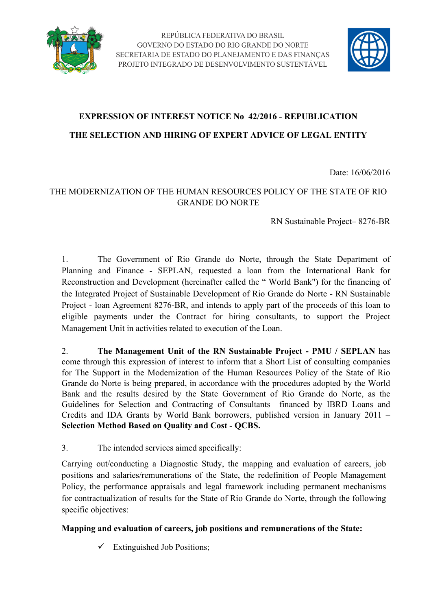



# **EXPRESSION OF INTEREST NOTICE No 42/2016 - REPUBLICATION THE SELECTION AND HIRING OF EXPERT ADVICE OF LEGAL ENTITY**

Date: 16/06/2016

## THE MODERNIZATION OF THE HUMAN RESOURCES POLICY OF THE STATE OF RIO GRANDE DO NORTE

RN Sustainable Project– 8276-BR

1. The Government of Rio Grande do Norte, through the State Department of Planning and Finance - SEPLAN, requested a loan from the International Bank for Reconstruction and Development (hereinafter called the " World Bank") for the financing of the Integrated Project of Sustainable Development of Rio Grande do Norte - RN Sustainable Project - loan Agreement 8276-BR, and intends to apply part of the proceeds of this loan to eligible payments under the Contract for hiring consultants, to support the Project Management Unit in activities related to execution of the Loan.

2. **The Management Unit of the RN Sustainable Project - PMU / SEPLAN** has come through this expression of interest to inform that a Short List of consulting companies for The Support in the Modernization of the Human Resources Policy of the State of Rio Grande do Norte is being prepared, in accordance with the procedures adopted by the World Bank and the results desired by the State Government of Rio Grande do Norte, as the Guidelines for Selection and Contracting of Consultants financed by IBRD Loans and Credits and IDA Grants by World Bank borrowers, published version in January 2011 – **Selection Method Based on Quality and Cost - QCBS.**

3. The intended services aimed specifically:

Carrying out/conducting a Diagnostic Study, the mapping and evaluation of careers, job positions and salaries/remunerations of the State, the redefinition of People Management Policy, the performance appraisals and legal framework including permanent mechanisms for contractualization of results for the State of Rio Grande do Norte, through the following specific objectives:

### **Mapping and evaluation of careers, job positions and remunerations of the State:**

 $\checkmark$  Extinguished Job Positions;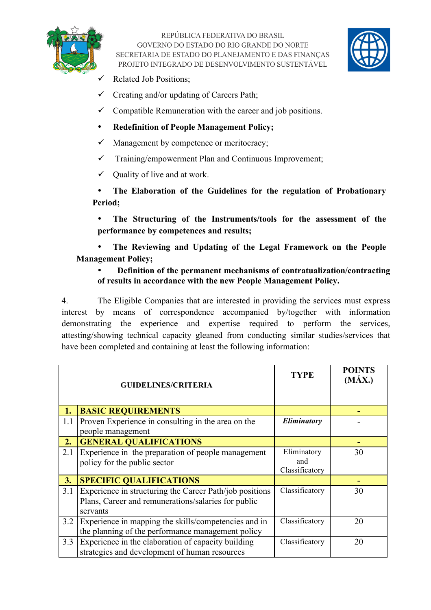

REPÚBLICA FEDERATIVA DO BRASIL GOVERNO DO ESTADO DO RIO GRANDE DO NORTE SECRETARIA DE ESTADO DO PLANEJAMENTO E DAS FINANÇAS PROJETO INTEGRADO DE DESENVOLVIMENTO SUSTENTÁVEL



- $\checkmark$  Related Job Positions;
- $\checkmark$  Creating and/or updating of Careers Path;
- $\checkmark$  Compatible Remuneration with the career and job positions.
- **Redefinition of People Management Policy;**
- $\checkmark$  Management by competence or meritocracy;
- $\checkmark$  Training/empowerment Plan and Continuous Improvement;
- $\checkmark$  Quality of live and at work.

• **The Elaboration of the Guidelines for the regulation of Probationary Period;**

• **The Structuring of the Instruments/tools for the assessment of the performance by competences and results;**

• **The Reviewing and Updating of the Legal Framework on the People Management Policy;**

#### • **Definition of the permanent mechanisms of contratualization/contracting of results in accordance with the new People Management Policy.**

4. The Eligible Companies that are interested in providing the services must express interest by means of correspondence accompanied by/together with information demonstrating the experience and expertise required to perform the services, attesting/showing technical capacity gleaned from conducting similar studies/services that have been completed and containing at least the following information:

| <b>GUIDELINES/CRITERIA</b> |                                                                                                                            | <b>TYPE</b>                          | <b>POINTS</b><br>$(M\acute{A}X.)$ |
|----------------------------|----------------------------------------------------------------------------------------------------------------------------|--------------------------------------|-----------------------------------|
| 1.                         | <b>BASIC REQUIREMENTS</b>                                                                                                  |                                      |                                   |
| 1.1                        | Proven Experience in consulting in the area on the<br>people management                                                    | Eliminatory                          |                                   |
| 2.                         | <b>GENERAL QUALIFICATIONS</b>                                                                                              |                                      |                                   |
| 2.1                        | Experience in the preparation of people management<br>policy for the public sector                                         | Eliminatory<br>and<br>Classificatory | 30                                |
| 3.                         | <b>SPECIFIC QUALIFICATIONS</b>                                                                                             |                                      |                                   |
| 3.1                        | Experience in structuring the Career Path/job positions<br>Plans, Career and remunerations/salaries for public<br>servants | Classificatory                       | 30                                |
| 3.2                        | Experience in mapping the skills/competencies and in<br>the planning of the performance management policy                  | Classificatory                       | 20                                |
| 3.3                        | Experience in the elaboration of capacity building<br>strategies and development of human resources                        | Classificatory                       | 20                                |